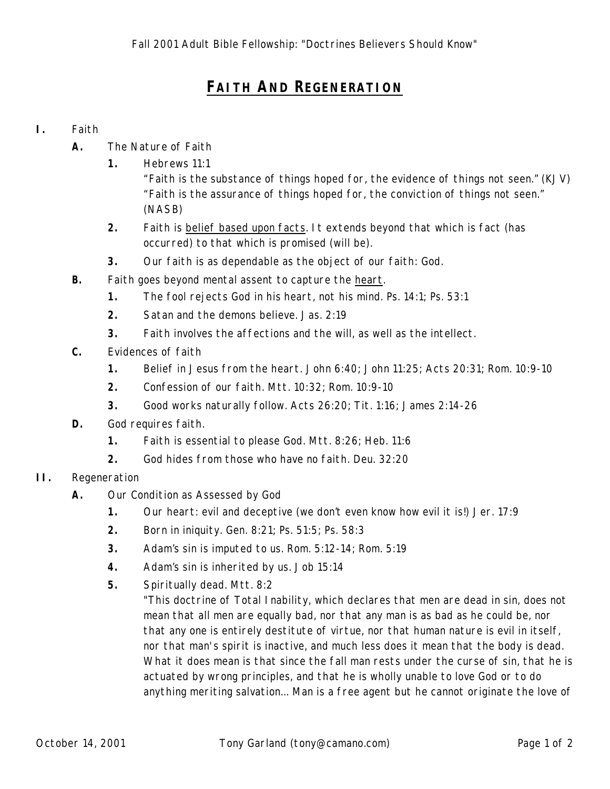## **FAITH AND REGENERATION**

## **I.** Faith

- **A.** The Nature of Faith
	- **1.** Hebrews 11:1

"Faith is the *substance* of things hoped for, the *evidence* of things not seen." (KJV) "Faith is the *assurance* of things hoped for, the *conviction* of things not seen." (NASB)

- **2.** Faith is belief based upon facts. It extends beyond that which is fact (has occurred) to that which is promised (will be).
- **3.** Our faith is as dependable as the *object* of our faith: God.
- **B.** Faith goes beyond mental assent to capture the heart.
	- **1.** The fool rejects God in his *heart*, not his mind. Ps. 14:1; Ps. 53:1
	- **2.** Satan and the demons believe. Jas. 2:19
	- **3.** Faith involves the affections and the will, as well as the intellect.
- **C.** Evidences of faith
	- **1.** Belief in Jesus from the heart. John 6:40; John 11:25; Acts 20:31; Rom. 10:9-10
	- **2.** Confession of our faith. Mtt. 10:32; Rom. 10:9-10
	- **3.** Good works naturally follow. Acts 26:20; Tit. 1:16; James 2:14-26
- **D.** God requires faith.
	- **1.** Faith is *essential* to please God. Mtt. 8:26; Heb. 11:6
	- **2.** God hides from those who have no faith. Deu. 32:20
- **II.** Regeneration
	- **A.** Our Condition as Assessed by God
		- **1.** Our heart: evil and *deceptive* (we don't even know how evil it is!) Jer. 17:9
		- **2.** Born in iniquity. Gen. 8:21; Ps. 51:5; Ps. 58:3
		- **3.** Adam's sin is *imputed* to us. Rom. 5:12-14; Rom. 5:19
		- **4.** Adam's sin is *inherited* by us. Job 15:14
		- **5.** Spiritually dead. Mtt. 8:2

"This doctrine of Total Inability, which declares that men are dead in sin, does not mean that all men are equally bad, nor that any man is as bad as he could be, nor that any one is entirely destitute of virtue, nor that human nature is evil in itself, nor that man's spirit is inactive, and much less does it mean that the body is dead. What it does mean is that since the fall man rests under the curse of sin, that he is actuated by wrong principles, and that he is wholly unable to love God or to do anything meriting salvation... Man is a free agent but he cannot originate the love of